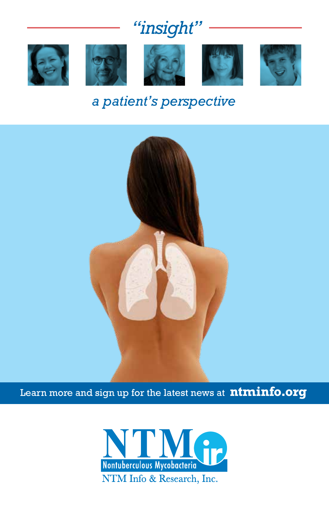# *"insight"*











## *a patient's perspective*



Learn more and sign up for the latest news at **ntminfo.org**

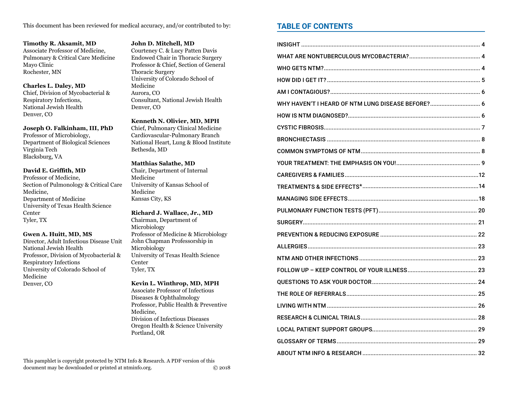This document has been reviewed for medical accuracy, and/or contributed to by:

Timothy R. Aksamit, MD Associate Professor of Medicine, Pulmonary & Critical Care Medicine Mayo Clinic Rochester, MN

#### **Charles L. Daley, MD**

Chief, Division of Mycobacterial & Respiratory Infections, National Jewish Health Denver, CO

Joseph O. Falkinham, III, PhD

Professor of Microbiology, Department of Biological Sciences Virginia Tech Blacksburg, VA

#### David E. Griffith, MD

Professor of Medicine, Section of Pulmonology & Critical Care Medicine. Department of Medicine University of Texas Health Science Center Tyler, TX

#### Gwen A. Huitt, MD, MS

Director, Adult Infectious Disease Unit National Jewish Health Professor, Division of Mycobacterial & **Respiratory Infections** University of Colorado School of Medicine Denver, CO

#### John D. Mitchell, MD

Courteney C. & Lucy Patten Davis Endowed Chair in Thoracic Surgery Professor & Chief, Section of General **Thoracic Surgery** University of Colorado School of Medicine Aurora, CO Consultant, National Jewish Health Denver, CO

#### Kenneth N. Olivier, MD, MPH

Chief, Pulmonary Clinical Medicine Cardiovascular-Pulmonary Branch National Heart, Lung & Blood Institute Bethesda, MD

#### **Matthias Salathe, MD**

Chair, Department of Internal Medicine University of Kansas School of Medicine Kansas City, KS

#### Richard J. Wallace, Jr., MD Chairman, Department of

Microbiology Professor of Medicine & Microbiology John Chapman Professorship in Microbiology University of Texas Health Science Center Tyler, TX

#### Kevin L. Winthrop, MD, MPH

**Associate Professor of Infectious** Diseases & Ophthalmology Professor, Public Health & Preventive Medicine. Division of Infectious Diseases Oregon Health & Science University Portland, OR

### **TABLE OF CONTENTS**

| WHY HAVEN'T I HEARD OF NTM LUNG DISEASE BEFORE? 6 |  |
|---------------------------------------------------|--|
|                                                   |  |
|                                                   |  |
|                                                   |  |
|                                                   |  |
|                                                   |  |
|                                                   |  |
|                                                   |  |
|                                                   |  |
|                                                   |  |
|                                                   |  |
|                                                   |  |
|                                                   |  |
|                                                   |  |
|                                                   |  |
|                                                   |  |
|                                                   |  |
|                                                   |  |
|                                                   |  |
|                                                   |  |
|                                                   |  |
|                                                   |  |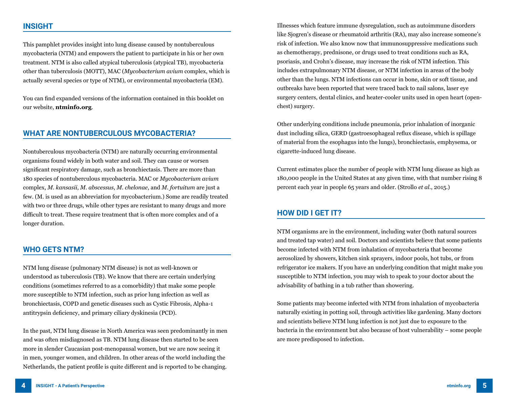### **INSIGHT**

This pamphlet provides insight into lung disease caused by nontuberculous mycobacteria (NTM) and empowers the patient to participate in his or her own treatment. NTM is also called atypical tuberculosis (atypical TB), mycobacteria other than tuberculosis (MOTT), MAC (*Mycobacterium avium* complex, which is actually several species or type of NTM), or environmental mycobacteria (EM).

You can find expanded versions of the information contained in this booklet on our website, **ntminfo.org**.

### **WHAT ARE NONTUBERCULOUS MYCOBACTERIA?**

Nontuberculous mycobacteria (NTM) are naturally occurring environmental organisms found widely in both water and soil. They can cause or worsen significant respiratory damage, such as bronchiectasis. There are more than 180 species of nontuberculous mycobacteria. MAC or *Mycobacterium avium* complex, *M. kansasii*, *M. abscessus*, *M. chelonae*, and *M. fortuitum* are just a few. (M. is used as an abbreviation for mycobacterium.) Some are readily treated with two or three drugs, while other types are resistant to many drugs and more difficult to treat. These require treatment that is often more complex and of a longer duration.

### **WHO GETS NTM?**

NTM lung disease (pulmonary NTM disease) is not as well-known or understood as tuberculosis (TB). We know that there are certain underlying conditions (sometimes referred to as a comorbidity) that make some people more susceptible to NTM infection, such as prior lung infection as well as bronchiectasis, COPD and genetic diseases such as Cystic Fibrosis, Alpha-1 antitrypsin deficiency, and primary ciliary dyskinesia (PCD).

In the past, NTM lung disease in North America was seen predominantly in men and was often misdiagnosed as TB. NTM lung disease then started to be seen more in slender Caucasian post-menopausal women, but we are now seeing it in men, younger women, and children. In other areas of the world including the Netherlands, the patient profile is quite different and is reported to be changing.

Illnesses which feature immune dysregulation, such as autoimmune disorders like Sjogren's disease or rheumatoid arthritis (RA), may also increase someone's risk of infection. We also know now that immunosuppressive medications such as chemotherapy, prednisone, or drugs used to treat conditions such as RA, psoriasis, and Crohn's disease, may increase the risk of NTM infection. This includes extrapulmonary NTM disease, or NTM infection in areas of the body other than the lungs. NTM infections can occur in bone, skin or soft tissue, and outbreaks have been reported that were traced back to nail salons, laser eye surgery centers, dental clinics, and heater-cooler units used in open heart (openchest) surgery.

Other underlying conditions include pneumonia, prior inhalation of inorganic dust including silica, GERD (gastroesophageal reflux disease, which is spillage of material from the esophagus into the lungs), bronchiectasis, emphysema, or cigarette-induced lung disease.

Current estimates place the number of people with NTM lung disease as high as 180,000 people in the United States at any given time, with that number rising 8 percent each year in people 65 years and older. (Strollo *et al*., 2015.)

### **HOW DID I GET IT?**

NTM organisms are in the environment, including water (both natural sources and treated tap water) and soil. Doctors and scientists believe that some patients become infected with NTM from inhalation of mycobacteria that become aerosolized by showers, kitchen sink sprayers, indoor pools, hot tubs, or from refrigerator ice makers. If you have an underlying condition that might make you susceptible to NTM infection, you may wish to speak to your doctor about the advisability of bathing in a tub rather than showering.

Some patients may become infected with NTM from inhalation of mycobacteria naturally existing in potting soil, through activities like gardening. Many doctors and scientists believe NTM lung infection is not just due to exposure to the bacteria in the environment but also because of host vulnerability – some people are more predisposed to infection.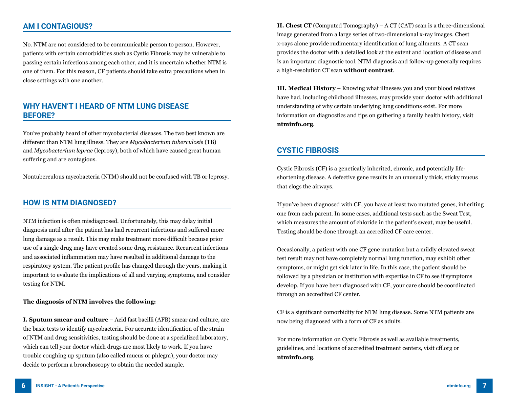### **AM I CONTAGIOUS?**

No. NTM are not considered to be communicable person to person. However, patients with certain comorbidities such as Cystic Fibrosis may be vulnerable to passing certain infections among each other, and it is uncertain whether NTM is one of them. For this reason, CF patients should take extra precautions when in close settings with one another.

### **WHY HAVEN'T I HEARD OF NTM LUNG DISEASE BEFORE?**

You've probably heard of other mycobacterial diseases. The two best known are different than NTM lung illness. They are *Mycobacterium tuberculosis* (TB) and *Mycobacterium leprae* (leprosy), both of which have caused great human suffering and are contagious.

Nontuberculous mycobacteria (NTM) should not be confused with TB or leprosy.

### **HOW IS NTM DIAGNOSED?**

NTM infection is often misdiagnosed. Unfortunately, this may delay initial diagnosis until after the patient has had recurrent infections and suffered more lung damage as a result. This may make treatment more difficult because prior use of a single drug may have created some drug resistance. Recurrent infections and associated inflammation may have resulted in additional damage to the respiratory system. The patient profile has changed through the years, making it important to evaluate the implications of all and varying symptoms, and consider testing for NTM.

#### **The diagnosis of NTM involves the following:**

**I. Sputum smear and culture** – Acid fast bacilli (AFB) smear and culture, are the basic tests to identify mycobacteria. For accurate identification of the strain of NTM and drug sensitivities, testing should be done at a specialized laboratory, which can tell your doctor which drugs are most likely to work. If you have trouble coughing up sputum (also called mucus or phlegm), your doctor may decide to perform a bronchoscopy to obtain the needed sample.

**II. Chest CT** (Computed Tomography) – A CT (CAT) scan is a three-dimensional image generated from a large series of two-dimensional x-ray images. Chest x-rays alone provide rudimentary identification of lung ailments. A CT scan provides the doctor with a detailed look at the extent and location of disease and is an important diagnostic tool. NTM diagnosis and follow-up generally requires a high-resolution CT scan **without contrast**.

**III. Medical History** – Knowing what illnesses you and your blood relatives have had, including childhood illnesses, may provide your doctor with additional understanding of why certain underlying lung conditions exist. For more information on diagnostics and tips on gathering a family health history, visit **ntminfo.org**.

### **CYSTIC FIBROSIS**

Cystic Fibrosis (CF) is a genetically inherited, chronic, and potentially lifeshortening disease. A defective gene results in an unusually thick, sticky mucus that clogs the airways.

If you've been diagnosed with CF, you have at least two mutated genes, inheriting one from each parent. In some cases, additional tests such as the Sweat Test, which measures the amount of chloride in the patient's sweat, may be useful. Testing should be done through an accredited CF care center.

Occasionally, a patient with one CF gene mutation but a mildly elevated sweat test result may not have completely normal lung function, may exhibit other symptoms, or might get sick later in life. In this case, the patient should be followed by a physician or institution with expertise in CF to see if symptoms develop. If you have been diagnosed with CF, your care should be coordinated through an accredited CF center.

CF is a significant comorbidity for NTM lung disease. Some NTM patients are now being diagnosed with a form of CF as adults.

For more information on Cystic Fibrosis as well as available treatments, guidelines, and locations of accredited treatment centers, visit cff.org or **ntminfo.org**.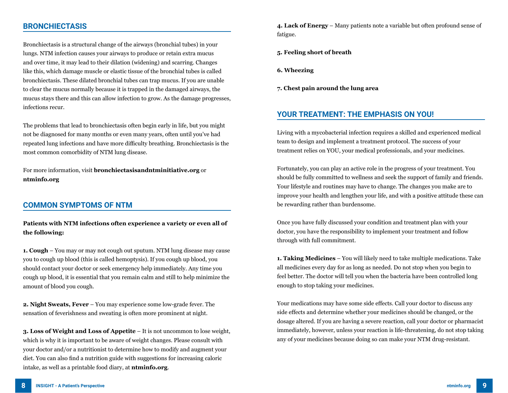### **BRONCHIECTASIS**

Bronchiectasis is a structural change of the airways (bronchial tubes) in your lungs. NTM infection causes your airways to produce or retain extra mucus and over time, it may lead to their dilation (widening) and scarring. Changes like this, which damage muscle or elastic tissue of the bronchial tubes is called bronchiectasis. These dilated bronchial tubes can trap mucus. If you are unable to clear the mucus normally because it is trapped in the damaged airways, the mucus stays there and this can allow infection to grow. As the damage progresses, infections recur.

The problems that lead to bronchiectasis often begin early in life, but you might not be diagnosed for many months or even many years, often until you've had repeated lung infections and have more difficulty breathing. Bronchiectasis is the most common comorbidity of NTM lung disease.

For more information, visit **bronchiectasisandntminitiative.org** or **ntminfo.org**

### **COMMON SYMPTOMS OF NTM**

#### **Patients with NTM infections often experience a variety or even all of the following:**

**1. Cough** – You may or may not cough out sputum. NTM lung disease may cause you to cough up blood (this is called hemoptysis). If you cough up blood, you should contact your doctor or seek emergency help immediately. Any time you cough up blood, it is essential that you remain calm and still to help minimize the amount of blood you cough.

**2. Night Sweats, Fever** – You may experience some low-grade fever. The sensation of feverishness and sweating is often more prominent at night.

**3. Loss of Weight and Loss of Appetite** – It is not uncommon to lose weight, which is why it is important to be aware of weight changes. Please consult with your doctor and/or a nutritionist to determine how to modify and augment your diet. You can also find a nutrition guide with suggestions for increasing caloric intake, as well as a printable food diary, at **ntminfo.org**.

**4. Lack of Energy** – Many patients note a variable but often profound sense of fatigue.

- **5. Feeling short of breath**
- **6. Wheezing**
- **7. Chest pain around the lung area**

### **YOUR TREATMENT: THE EMPHASIS ON YOU!**

Living with a mycobacterial infection requires a skilled and experienced medical team to design and implement a treatment protocol. The success of your treatment relies on YOU, your medical professionals, and your medicines.

Fortunately, you can play an active role in the progress of your treatment. You should be fully committed to wellness and seek the support of family and friends. Your lifestyle and routines may have to change. The changes you make are to improve your health and lengthen your life, and with a positive attitude these can be rewarding rather than burdensome.

Once you have fully discussed your condition and treatment plan with your doctor, you have the responsibility to implement your treatment and follow through with full commitment.

**1. Taking Medicines** – You will likely need to take multiple medications. Take all medicines every day for as long as needed. Do not stop when you begin to feel better. The doctor will tell you when the bacteria have been controlled long enough to stop taking your medicines.

Your medications may have some side effects. Call your doctor to discuss any side effects and determine whether your medicines should be changed, or the dosage altered. If you are having a severe reaction, call your doctor or pharmacist immediately, however, unless your reaction is life-threatening, do not stop taking any of your medicines because doing so can make your NTM drug-resistant.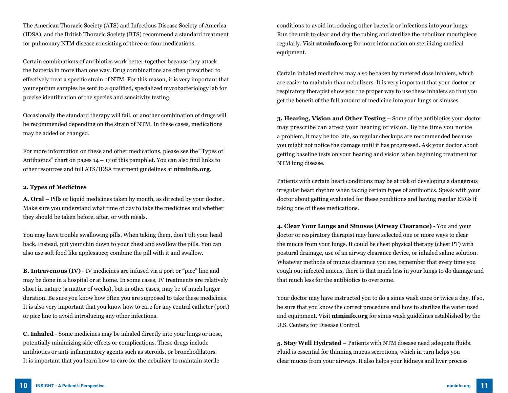The American Thoracic Society (ATS) and Infectious Disease Society of America (IDSA), and the British Thoracic Society (BTS) recommend a standard treatment for pulmonary NTM disease consisting of three or four medications.

Certain combinations of antibiotics work better together because they attack the bacteria in more than one way. Drug combinations are often prescribed to effectively treat a specific strain of NTM. For this reason, it is very important that your sputum samples be sent to a qualified, specialized mycobacteriology lab for precise identification of the species and sensitivity testing.

Occasionally the standard therapy will fail, or another combination of drugs will be recommended depending on the strain of NTM. In these cases, medications may be added or changed.

For more information on these and other medications, please see the "Types of Antibiotics" chart on pages  $14 - 17$  of this pamphlet. You can also find links to other resources and full ATS/IDSA treatment guidelines at **ntminfo.org**.

#### **2. Types of Medicines**

**A. Oral** – Pills or liquid medicines taken by mouth, as directed by your doctor. Make sure you understand what time of day to take the medicines and whether they should be taken before, after, or with meals.

You may have trouble swallowing pills. When taking them, don't tilt your head back. Instead, put your chin down to your chest and swallow the pills. You can also use soft food like applesauce; combine the pill with it and swallow.

**B. Intravenous (IV)** - IV medicines are infused via a port or "picc" line and may be done in a hospital or at home. In some cases, IV treatments are relatively short in nature (a matter of weeks), but in other cases, may be of much longer duration. Be sure you know how often you are supposed to take these medicines. It is also very important that you know how to care for any central catheter (port) or picc line to avoid introducing any other infections.

**C. Inhaled** - Some medicines may be inhaled directly into your lungs or nose, potentially minimizing side effects or complications. These drugs include antibiotics or anti-inflammatory agents such as steroids, or bronchodilators. It is important that you learn how to care for the nebulizer to maintain sterile

conditions to avoid introducing other bacteria or infections into your lungs. Run the unit to clear and dry the tubing and sterilize the nebulizer mouthpiece regularly. Visit **ntminfo.org** for more information on sterilizing medical equipment.

Certain inhaled medicines may also be taken by metered dose inhalers, which are easier to maintain than nebulizers. It is very important that your doctor or respiratory therapist show you the proper way to use these inhalers so that you get the benefit of the full amount of medicine into your lungs or sinuses.

**3. Hearing, Vision and Other Testing** – Some of the antibiotics your doctor may prescribe can affect your hearing or vision. By the time you notice a problem, it may be too late, so regular checkups are recommended because you might not notice the damage until it has progressed. Ask your doctor about getting baseline tests on your hearing and vision when beginning treatment for NTM lung disease.

Patients with certain heart conditions may be at risk of developing a dangerous irregular heart rhythm when taking certain types of antibiotics. Speak with your doctor about getting evaluated for these conditions and having regular EKGs if taking one of these medications.

**4. Clear Your Lungs and Sinuses (Airway Clearance)** - You and your doctor or respiratory therapist may have selected one or more ways to clear the mucus from your lungs. It could be chest physical therapy (chest PT) with postural drainage, use of an airway clearance device, or inhaled saline solution. Whatever methods of mucus clearance you use, remember that every time you cough out infected mucus, there is that much less in your lungs to do damage and that much less for the antibiotics to overcome.

Your doctor may have instructed you to do a sinus wash once or twice a day. If so, be sure that you know the correct procedure and how to sterilize the water used and equipment. Visit **ntminfo.org** for sinus wash guidelines established by the U.S. Centers for Disease Control.

**5. Stay Well Hydrated** – Patients with NTM disease need adequate fluids. Fluid is essential for thinning mucus secretions, which in turn helps you clear mucus from your airways. It also helps your kidneys and liver process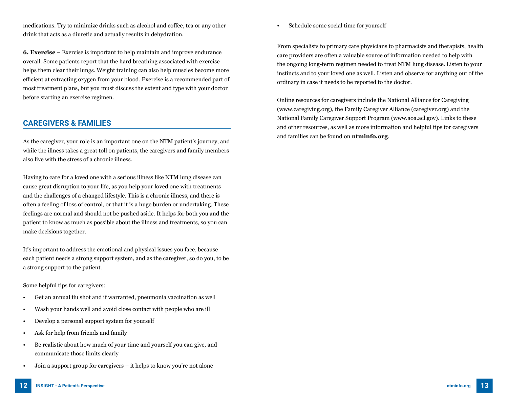medications. Try to minimize drinks such as alcohol and coffee, tea or any other drink that acts as a diuretic and actually results in dehydration.

**6. Exercise** – Exercise is important to help maintain and improve endurance overall. Some patients report that the hard breathing associated with exercise helps them clear their lungs. Weight training can also help muscles become more efficient at extracting oxygen from your blood. Exercise is a recommended part of most treatment plans, but you must discuss the extent and type with your doctor before starting an exercise regimen.

### **CAREGIVERS & FAMILIES**

As the caregiver, your role is an important one on the NTM patient's journey, and while the illness takes a great toll on patients, the caregivers and family members also live with the stress of a chronic illness.

Having to care for a loved one with a serious illness like NTM lung disease can cause great disruption to your life, as you help your loved one with treatments and the challenges of a changed lifestyle. This is a chronic illness, and there is often a feeling of loss of control, or that it is a huge burden or undertaking. These feelings are normal and should not be pushed aside. It helps for both you and the patient to know as much as possible about the illness and treatments, so you can make decisions together.

It's important to address the emotional and physical issues you face, because each patient needs a strong support system, and as the caregiver, so do you, to be a strong support to the patient.

Some helpful tips for caregivers:

- Get an annual flu shot and if warranted, pneumonia vaccination as well
- Wash your hands well and avoid close contact with people who are ill
- Develop a personal support system for yourself
- Ask for help from friends and family
- Be realistic about how much of your time and yourself you can give, and communicate those limits clearly
- Join a support group for caregivers it helps to know you're not alone

• Schedule some social time for yourself

From specialists to primary care physicians to pharmacists and therapists, health care providers are often a valuable source of information needed to help with the ongoing long-term regimen needed to treat NTM lung disease. Listen to your instincts and to your loved one as well. Listen and observe for anything out of the ordinary in case it needs to be reported to the doctor.

Online resources for caregivers include the National Alliance for Caregiving (www.caregiving.org), the Family Caregiver Alliance (caregiver.org) and the National Family Caregiver Support Program (www.aoa.acl.gov). Links to these and other resources, as well as more information and helpful tips for caregivers and families can be found on **ntminfo.org**.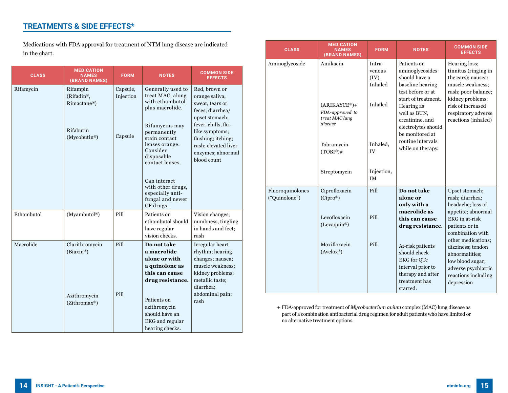### **TREATMENTS & SIDE EFFECTS\***

Medications with FDA approval for treatment of NTM lung disease are indicated in the chart.

| <b>CLASS</b> | <b>MEDICATION</b><br><b>NAMES</b><br>(BRAND NAMES)                                                           | <b>FORM</b>                      | <b>NOTES</b>                                                                                                                                                                                                                                                                           | <b>COMMON SIDE</b><br><b>EFFECTS</b>                                                                                                                                                                                |
|--------------|--------------------------------------------------------------------------------------------------------------|----------------------------------|----------------------------------------------------------------------------------------------------------------------------------------------------------------------------------------------------------------------------------------------------------------------------------------|---------------------------------------------------------------------------------------------------------------------------------------------------------------------------------------------------------------------|
| Rifamycin    | Rifampin<br>( $Rifadin$ <sup>®</sup> ,<br>Rimactane <sup>®</sup> )<br>Rifabutin<br>(Mycobutin <sup>®</sup> ) | Capsule,<br>Injection<br>Capsule | Generally used to<br>treat MAC, along<br>with ethambutol<br>plus macrolide.<br>Rifamycins may<br>permanently<br>stain contact<br>lenses orange.<br>Consider<br>disposable<br>contact lenses.<br>Can interact<br>with other drugs,<br>especially anti-<br>fungal and newer<br>CF drugs. | Red, brown or<br>orange saliva,<br>sweat, tears or<br>feces; diarrhea/<br>upset stomach;<br>fever, chills, flu-<br>like symptoms;<br>flushing; itching;<br>rash: elevated liver<br>enzymes; abnormal<br>blood count |
| Ethambutol   | (Myambutol®)                                                                                                 | Pill                             | Patients on<br>ethambutol should<br>have regular<br>vision checks.                                                                                                                                                                                                                     | Vision changes;<br>numbness, tingling<br>in hands and feet;<br>rash                                                                                                                                                 |
| Macrolide    | Clarithromycin<br>$(Biaxin^{\circledR})$<br>Azithromycin<br>$(Zithromax^@)$                                  | Pill<br>Pill                     | Do not take<br>a macrolide<br>alone or with<br>a quinolone as<br>this can cause<br>drug resistance.<br>Patients on<br>azithromycin<br>should have an<br><b>EKG</b> and regular<br>hearing checks.                                                                                      | Irregular heart<br>rhythm; hearing<br>changes; nausea;<br>muscle weakness;<br>kidney problems;<br>metallic taste;<br>diarrhea;<br>abdominal pain;<br>rash                                                           |

| <b>CLASS</b>                      | <b>MEDICATION</b><br><b>NAMES</b><br>(BRAND NAMES)              | <b>FORM</b>                             | <b>NOTES</b>                                                                                                                  | <b>COMMON SIDE</b><br><b>EFFECTS</b>                                                                                       |
|-----------------------------------|-----------------------------------------------------------------|-----------------------------------------|-------------------------------------------------------------------------------------------------------------------------------|----------------------------------------------------------------------------------------------------------------------------|
| Aminoglycoside                    | Amikacin                                                        | Intra-<br>venous<br>$(IV)$ ,<br>Inhaled | Patients on<br>aminoglycosides<br>should have a<br>baseline hearing<br>test before or at<br>start of treatment.               | Hearing loss;<br>tinnitus (ringing in<br>the ears); nausea;<br>muscle weakness:<br>rash; poor balance;<br>kidney problems; |
|                                   | $(ARIKAYCE®) +$<br>FDA-approved to<br>treat MAC lung<br>disease | Inhaled                                 | Hearing as<br>well as BUN,<br>creatinine, and<br>electrolytes should<br>be monitored at<br>routine intervals                  | risk of increased<br>respiratory adverse<br>reactions (inhaled)                                                            |
|                                   | Tobramycin<br>$(TOBI^{\circledR})$ #                            | Inhaled,<br>IV                          | while on therapy.                                                                                                             |                                                                                                                            |
|                                   | Streptomycin                                                    | Injection,<br><b>IM</b>                 |                                                                                                                               |                                                                                                                            |
| Fluoroquinolones<br>("Quinolone") | Ciprofloxacin<br>$(Cipro^{\circledR})$                          | Pill                                    | Do not take<br>alone or<br>only with a<br>macrolide as                                                                        | Upset stomach;<br>rash; diarrhea;<br>headache; loss of<br>appetite; abnormal                                               |
|                                   | Levofloxacin<br>(Levaquin <sup>®</sup> )                        | Pill                                    | this can cause<br>drug resistance.                                                                                            | EKG in at-risk<br>patients or in<br>combination with<br>other medications;                                                 |
|                                   | Moxifloxacin<br>$(Avelox^{\circledR})$                          | Pill                                    | At-risk patients<br>should check<br><b>EKG</b> for QTc<br>interval prior to<br>therapy and after<br>treatment has<br>started. | dizziness; tendon<br>abnormalities;<br>low blood sugar;<br>adverse psychiatric<br>reactions including<br>depression        |

+ FDA-approved for treatment of *Mycobacterium avium* complex (MAC) lung disease as part of a combination antibacterial drug regimen for adult patients who have limited or no alternative treatment options.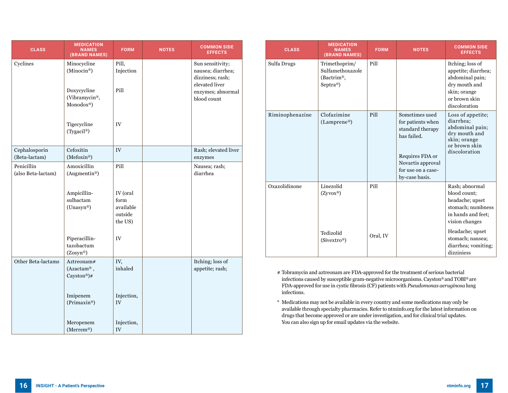| <b>CLASS</b>                     | <b>MEDICATION</b><br><b>NAMES</b><br>(BRAND NAMES)   | <b>FORM</b>                                         | <b>NOTES</b> | <b>COMMON SIDE</b><br><b>EFFECTS</b>                                        |
|----------------------------------|------------------------------------------------------|-----------------------------------------------------|--------------|-----------------------------------------------------------------------------|
| Cyclines                         | Minocycline<br>(Minocin®)                            | Pill,<br>Injection                                  |              | Sun sensitivity;<br>nausea; diarrhea;<br>dizziness; rash;<br>elevated liver |
|                                  | Doxycycline<br>(Vibramycin®,<br>Monodox®)            | Pill                                                |              | enzymes; abnormal<br>blood count                                            |
|                                  | Tigecycline<br>(Tygacil®)                            | IV                                                  |              |                                                                             |
| Cephalosporin<br>(Beta-lactam)   | Cefoxitin<br>(Mefoxin®)                              | IV                                                  |              | Rash; elevated liver<br>enzymes                                             |
| Penicillin<br>(also Beta-lactam) | Amoxicillin<br>(Augmentin®)                          | Pill                                                |              | Nausea; rash;<br>diarrhea                                                   |
|                                  | Ampicillin-<br>subactam<br>(Unasyn®)                 | IV (oral<br>form<br>available<br>outside<br>the US) |              |                                                                             |
|                                  | Piperacillin-<br>tazobactum<br>$(Zosyn^{\circledR})$ | IV                                                  |              |                                                                             |
| Other Beta-lactams               | Aztreonam#<br>(Azactam®,<br>Cayston®)#               | IV,<br>inhaled                                      |              | Itching; loss of<br>appetite; rash;                                         |
|                                  | Imipenem<br>(Primaxin®)                              | Injection,<br>${\rm IV}$                            |              |                                                                             |
|                                  | Meropenem<br>(Merrem®)                               | Injection,<br>IV                                    |              |                                                                             |

| <b>CLASS</b>    | <b>MEDICATION</b><br><b>NAMES</b><br>(BRAND NAMES)                       | <b>FORM</b> | <b>NOTES</b>                                                                                                                                           | <b>COMMON SIDE</b><br><b>EFFECTS</b>                                                                                          |
|-----------------|--------------------------------------------------------------------------|-------------|--------------------------------------------------------------------------------------------------------------------------------------------------------|-------------------------------------------------------------------------------------------------------------------------------|
| Sulfa Drugs     | Trimethoprim/<br>Sulfamethoxazole<br>(Bactrim <sup>®</sup> )<br>Septra®) | Pill        |                                                                                                                                                        | Itching; loss of<br>appetite; diarrhea;<br>abdominal pain;<br>dry mouth and<br>skin; orange<br>or brown skin<br>discoloration |
| Riminophenazine | Clofazimine<br>(Lamprene <sup>®</sup> )                                  | Pill        | Sometimes used<br>for patients when<br>standard therapy<br>has failed.<br>Requires FDA or<br>Novartis approval<br>for use on a case-<br>by-case basis. | Loss of appetite;<br>diarrhea;<br>abdominal pain;<br>dry mouth and<br>skin; orange<br>or brown skin<br>discoloration          |
| Oxazolidinone   | Linezolid<br>$(Zyvox^{\circledR})$                                       | Pill        |                                                                                                                                                        | Rash; abnormal<br>blood count:<br>headache; upset<br>stomach; numbness<br>in hands and feet;<br>vision changes                |
|                 | Tedizolid<br>(Sivextro <sup>®</sup> )                                    | Oral, IV    |                                                                                                                                                        | Headache; upset<br>stomach; nausea;<br>diarrhea; vomiting;<br>dizziniess                                                      |

# Tobramycin and aztreonam are FDA-approved for the treatment of serious bacterial infections caused by susceptible gram-negative microorganisms. Cayston® and TOBI® are FDA-approved for use in cystic fibrosis (CF) patients with *Pseudomonas aeruginosa* lung infections.

\* Medications may not be available in every country and some medications may only be available through specialty pharmacies. Refer to ntminfo.org for the latest information on drugs that become approved or are under investigation, and for clinical trial updates. You can also sign up for email updates via the website.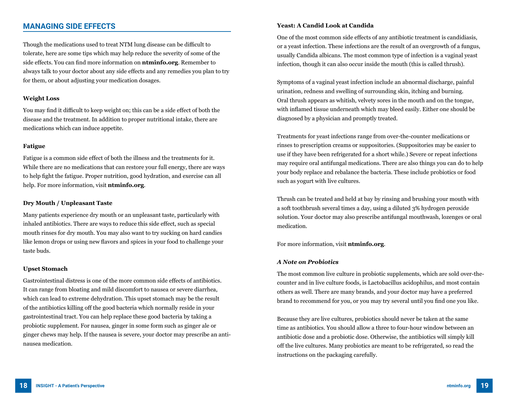### **MANAGING SIDE EFFECTS**

Though the medications used to treat NTM lung disease can be difficult to tolerate, here are some tips which may help reduce the severity of some of the side effects. You can find more information on **ntminfo.org**. Remember to always talk to your doctor about any side effects and any remedies you plan to try for them, or about adjusting your medication dosages.

#### **Weight Loss**

You may find it difficult to keep weight on; this can be a side effect of both the disease and the treatment. In addition to proper nutritional intake, there are medications which can induce appetite.

#### **Fatigue**

Fatigue is a common side effect of both the illness and the treatments for it. While there are no medications that can restore your full energy, there are ways to help fight the fatigue. Proper nutrition, good hydration, and exercise can all help. For more information, visit **ntminfo.org**.

#### **Dry Mouth / Unpleasant Taste**

Many patients experience dry mouth or an unpleasant taste, particularly with inhaled antibiotics. There are ways to reduce this side effect, such as special mouth rinses for dry mouth. You may also want to try sucking on hard candies like lemon drops or using new flavors and spices in your food to challenge your taste buds.

#### **Upset Stomach**

Gastrointestinal distress is one of the more common side effects of antibiotics. It can range from bloating and mild discomfort to nausea or severe diarrhea, which can lead to extreme dehydration. This upset stomach may be the result of the antibiotics killing off the good bacteria which normally reside in your gastrointestinal tract. You can help replace these good bacteria by taking a probiotic supplement. For nausea, ginger in some form such as ginger ale or ginger chews may help. If the nausea is severe, your doctor may prescribe an antinausea medication.

#### **Yeast: A Candid Look at Candida**

One of the most common side effects of any antibiotic treatment is candidiasis, or a yeast infection. These infections are the result of an overgrowth of a fungus, usually Candida albicans. The most common type of infection is a vaginal yeast infection, though it can also occur inside the mouth (this is called thrush).

Symptoms of a vaginal yeast infection include an abnormal discharge, painful urination, redness and swelling of surrounding skin, itching and burning. Oral thrush appears as whitish, velvety sores in the mouth and on the tongue, with inflamed tissue underneath which may bleed easily. Either one should be diagnosed by a physician and promptly treated.

Treatments for yeast infections range from over-the-counter medications or rinses to prescription creams or suppositories. (Suppositories may be easier to use if they have been refrigerated for a short while.) Severe or repeat infections may require oral antifungal medications. There are also things you can do to help your body replace and rebalance the bacteria. These include probiotics or food such as yogurt with live cultures.

Thrush can be treated and held at bay by rinsing and brushing your mouth with a soft toothbrush several times a day, using a diluted 3% hydrogen peroxide solution. Your doctor may also prescribe antifungal mouthwash, lozenges or oral medication.

For more information, visit **ntminfo.org**.

#### *A Note on Probiotics*

The most common live culture in probiotic supplements, which are sold over-thecounter and in live culture foods, is Lactobacillus acidophilus, and most contain others as well. There are many brands, and your doctor may have a preferred brand to recommend for you, or you may try several until you find one you like.

Because they are live cultures, probiotics should never be taken at the same time as antibiotics. You should allow a three to four-hour window between an antibiotic dose and a probiotic dose. Otherwise, the antibiotics will simply kill off the live cultures. Many probiotics are meant to be refrigerated, so read the instructions on the packaging carefully.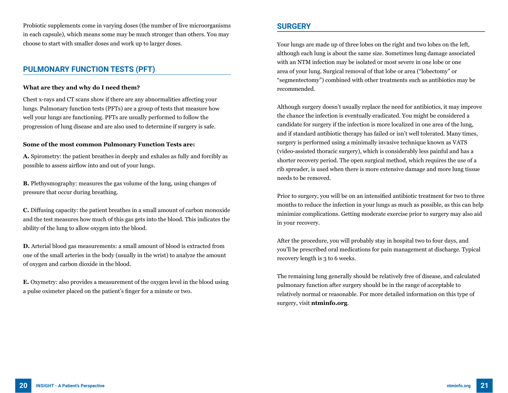Probiotic supplements come in varying doses (the number of live microorganisms in each capsule), which means some may be much stronger than others. You may choose to start with smaller doses and work up to larger doses.

### **PULMONARY FUNCTION TESTS (PFT)**

#### **What are they and why do I need them?**

Chest x-rays and CT scans show if there are any abnormalities affecting your lungs. Pulmonary function tests (PFTs) are a group of tests that measure how well your lungs are functioning. PFTs are usually performed to follow the progression of lung disease and are also used to determine if surgery is safe.

#### **Some of the most common Pulmonary Function Tests are:**

**A.** Spirometry: the patient breathes in deeply and exhales as fully and forcibly as possible to assess airflow into and out of your lungs.

**B.** Plethysmography: measures the gas volume of the lung, using changes of pressure that occur during breathing.

**C.** Diffusing capacity: the patient breathes in a small amount of carbon monoxide and the test measures how much of this gas gets into the blood. This indicates the ability of the lung to allow oxygen into the blood.

**D.** Arterial blood gas measurements: a small amount of blood is extracted from one of the small arteries in the body (usually in the wrist) to analyze the amount of oxygen and carbon dioxide in the blood.

**E.** Oxymetry: also provides a measurement of the oxygen level in the blood using a pulse oximeter placed on the patient's finger for a minute or two.

### **SURGERY**

Your lungs are made up of three lobes on the right and two lobes on the left, although each lung is about the same size. Sometimes lung damage associated with an NTM infection may be isolated or most severe in one lobe or one area of your lung. Surgical removal of that lobe or area ("lobectomy" or "segmentectomy") combined with other treatments such as antibiotics may be recommended.

Although surgery doesn't usually replace the need for antibiotics, it may improve the chance the infection is eventually eradicated. You might be considered a candidate for surgery if the infection is more localized in one area of the lung, and if standard antibiotic therapy has failed or isn't well tolerated. Many times, surgery is performed using a minimally invasive technique known as VATS (video-assisted thoracic surgery), which is considerably less painful and has a shorter recovery period. The open surgical method, which requires the use of a rib spreader, is used when there is more extensive damage and more lung tissue needs to be removed.

Prior to surgery, you will be on an intensified antibiotic treatment for two to three months to reduce the infection in your lungs as much as possible, as this can help minimize complications. Getting moderate exercise prior to surgery may also aid in your recovery.

After the procedure, you will probably stay in hospital two to four days, and you'll be prescribed oral medications for pain management at discharge. Typical recovery length is 3 to 6 weeks.

The remaining lung generally should be relatively free of disease, and calculated pulmonary function after surgery should be in the range of acceptable to relatively normal or reasonable. For more detailed information on this type of surgery, visit **ntminfo.org**.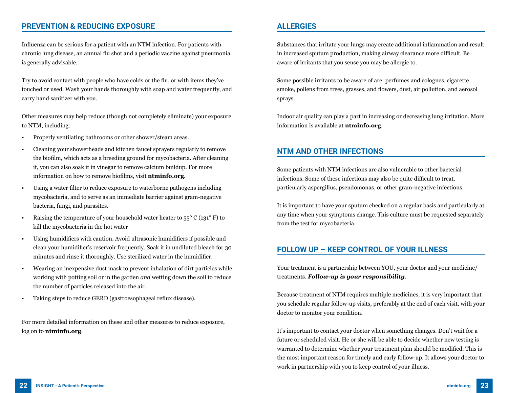### **PREVENTION & REDUCING EXPOSURE**

Influenza can be serious for a patient with an NTM infection. For patients with chronic lung disease, an annual flu shot and a periodic vaccine against pneumonia is generally advisable.

Try to avoid contact with people who have colds or the flu, or with items they've touched or used. Wash your hands thoroughly with soap and water frequently, and carry hand sanitizer with you.

Other measures may help reduce (though not completely eliminate) your exposure to NTM, including:

- Properly ventilating bathrooms or other shower/steam areas.
- Cleaning your showerheads and kitchen faucet sprayers regularly to remove the biofilm, which acts as a breeding ground for mycobacteria. After cleaning it, you can also soak it in vinegar to remove calcium buildup. For more information on how to remove biofilms, visit **ntminfo.org**.
- Using a water filter to reduce exposure to waterborne pathogens including mycobacteria, and to serve as an immediate barrier against gram-negative bacteria, fungi, and parasites.
- Raising the temperature of your household water heater to  $55^{\circ}$  C (131<sup>°</sup> F) to kill the mycobacteria in the hot water
- Using humidifiers with caution. Avoid ultrasonic humidifiers if possible and clean your humidifier's reservoir frequently. Soak it in undiluted bleach for 30 minutes and rinse it thoroughly. Use sterilized water in the humidifier.
- Wearing an inexpensive dust mask to prevent inhalation of dirt particles while working with potting soil or in the garden *and* wetting down the soil to reduce the number of particles released into the air.
- Taking steps to reduce GERD (gastroesophageal reflux disease).

For more detailed information on these and other measures to reduce exposure, log on to **ntminfo.org**.

### **ALLERGIES**

Substances that irritate your lungs may create additional inflammation and result in increased sputum production, making airway clearance more difficult. Be aware of irritants that you sense you may be allergic to.

Some possible irritants to be aware of are: perfumes and colognes, cigarette smoke, pollens from trees, grasses, and flowers, dust, air pollution, and aerosol sprays.

Indoor air quality can play a part in increasing or decreasing lung irritation. More information is available at **ntminfo.org**.

### **NTM AND OTHER INFECTIONS**

Some patients with NTM infections are also vulnerable to other bacterial infections. Some of these infections may also be quite difficult to treat, particularly aspergillus, pseudomonas, or other gram-negative infections.

It is important to have your sputum checked on a regular basis and particularly at any time when your symptoms change. This culture must be requested separately from the test for mycobacteria.

### **FOLLOW UP – KEEP CONTROL OF YOUR ILLNESS**

Your treatment is a partnership between YOU, your doctor and your medicine/ treatments. *Follow-up is your responsibility*.

Because treatment of NTM requires multiple medicines, it is very important that you schedule regular follow-up visits, preferably at the end of each visit, with your doctor to monitor your condition.

It's important to contact your doctor when something changes. Don't wait for a future or scheduled visit. He or she will be able to decide whether new testing is warranted to determine whether your treatment plan should be modified. This is the most important reason for timely and early follow-up. It allows your doctor to work in partnership with you to keep control of your illness.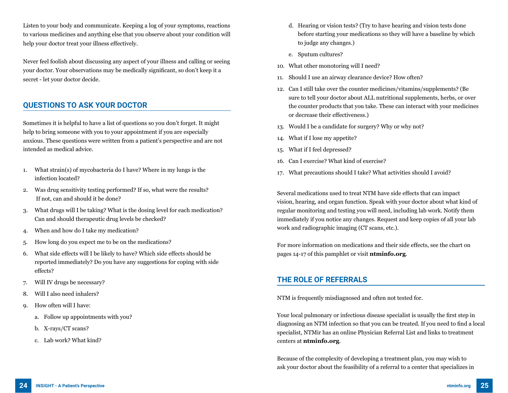Listen to your body and communicate. Keeping a log of your symptoms, reactions to various medicines and anything else that you observe about your condition will help your doctor treat your illness effectively.

Never feel foolish about discussing any aspect of your illness and calling or seeing your doctor. Your observations may be medically significant, so don't keep it a secret - let your doctor decide.

### **QUESTIONS TO ASK YOUR DOCTOR**

Sometimes it is helpful to have a list of questions so you don't forget. It might help to bring someone with you to your appointment if you are especially anxious. These questions were written from a patient's perspective and are not intended as medical advice.

- 1. What strain(s) of mycobacteria do I have? Where in my lungs is the infection located?
- 2. Was drug sensitivity testing performed? If so, what were the results? If not, can and should it be done?
- 3. What drugs will I be taking? What is the dosing level for each medication? Can and should therapeutic drug levels be checked?
- 4. When and how do I take my medication?
- 5. How long do you expect me to be on the medications?
- 6. What side effects will I be likely to have? Which side effects should be reported immediately? Do you have any suggestions for coping with side effects?
- 7. Will IV drugs be necessary?
- 8. Will I also need inhalers?
- 9. How often will I have:
	- a. Follow up appointments with you?
	- b. X-rays/CT scans?
	- c. Lab work? What kind?
- d. Hearing or vision tests? (Try to have hearing and vision tests done before starting your medications so they will have a baseline by which to judge any changes.)
- e. Sputum cultures?
- 10. What other monotoring will I need?
- 11. Should I use an airway clearance device? How often?
- 12. Can I still take over the counter medicines/vitamins/supplements? (Be sure to tell your doctor about ALL nutritional supplements, herbs, or over the counter products that you take. These can interact with your medicines or decrease their effectiveness.)
- 13. Would I be a candidate for surgery? Why or why not?
- 14. What if I lose my appetite?
- 15. What if I feel depressed?
- 16. Can I exercise? What kind of exercise?
- 17. What precautions should I take? What activities should I avoid?

Several medications used to treat NTM have side effects that can impact vision, hearing, and organ function. Speak with your doctor about what kind of regular monitoring and testing you will need, including lab work. Notify them immediately if you notice any changes. Request and keep copies of all your lab work and radiographic imaging (CT scans, etc.).

For more information on medications and their side effects, see the chart on pages 14-17 of this pamphlet or visit **ntminfo.org**.

### **THE ROLE OF REFERRALS**

NTM is frequently misdiagnosed and often not tested for.

Your local pulmonary or infectious disease specialist is usually the first step in diagnosing an NTM infection so that you can be treated. If you need to find a local specialist, NTMir has an online Physician Referral List and links to treatment centers at **ntminfo.org**.

Because of the complexity of developing a treatment plan, you may wish to ask your doctor about the feasibility of a referral to a center that specializes in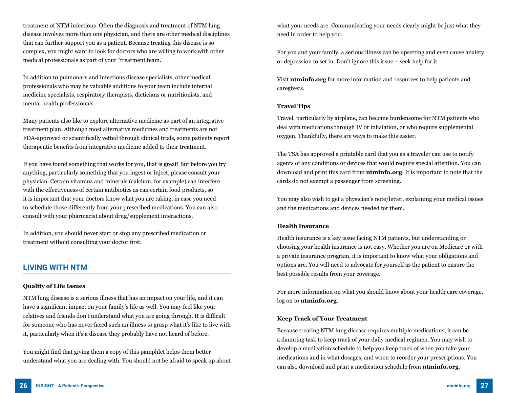treatment of NTM infections. Often the diagnosis and treatment of NTM lung disease involves more than one physician, and there are other medical disciplines that can further support you as a patient. Because treating this disease is so complex, you might want to look for doctors who are willing to work with other medical professionals as part of your "treatment team."

In addition to pulmonary and infectious disease specialists, other medical professionals who may be valuable additions to your team include internal medicine specialists, respiratory therapists, dieticians or nutritionists, and mental health professionals.

Many patients also like to explore alternative medicine as part of an integrative treatment plan. Although most alternative medicines and treatments are not FDA-approved or scientifically vetted through clinical trials, some patients report therapeutic benefits from integrative medicine added to their treatment.

If you have found something that works for you, that is great! But before you try anything, particularly something that you ingest or inject, please consult your physician. Certain vitamins and minerals (calcium, for example) can interfere with the effectiveness of certain antibiotics as can certain food products, so it is important that your doctors know what you are taking, in case you need to schedule those differently from your prescribed medications. You can also consult with your pharmacist about drug/supplement interactions.

In addition, you should never start or stop any prescribed medication or treatment without consulting your doctor first.

### **LIVING WITH NTM**

#### **Quality of Life Issues**

NTM lung disease is a serious illness that has an impact on your life, and it can have a significant impact on your family's life as well. You may feel like your relatives and friends don't understand what you are going through. It is difficult for someone who has never faced such an illness to grasp what it's like to live with it, particularly when it's a disease they probably have not heard of before.

You might find that giving them a copy of this pamphlet helps them better understand what you are dealing with. You should not be afraid to speak up about what your needs are. Communicating your needs clearly might be just what they need in order to help you.

For you and your family, a serious illness can be upsetting and even cause anxiety or depression to set in. Don't ignore this issue – seek help for it.

Visit **ntminfo.org** for more information and resources to help patients and caregivers.

#### **Travel Tips**

Travel, particularly by airplane, can become burdensome for NTM patients who deal with medications through IV or inhalation, or who require supplemental oxygen. Thankfully, there are ways to make this easier.

The TSA has approved a printable card that you as a traveler can use to notify agents of any conditions or devices that would require special attention. You can download and print this card from **ntminfo.org**. It is important to note that the cards do not exempt a passenger from screening.

You may also wish to get a physician's note/letter, explaining your medical issues and the medications and devices needed for them.

#### **Health Insurance**

Health insurance is a key issue facing NTM patients, but understanding or choosing your health insurance is not easy. Whether you are on Medicare or with a private insurance program, it is important to know what your obligations and options are. You will need to advocate for yourself as the patient to ensure the best possible results from your coverage.

For more information on what you should know about your health care coverage, log on to **ntminfo.org**.

#### **Keep Track of Your Treatment**

Because treating NTM lung disease requires multiple medications, it can be a daunting task to keep track of your daily medical regimen. You may wish to develop a medication schedule to help you keep track of when you take your medications and in what dosages, and when to reorder your prescriptions. You can also download and print a medication schedule from **ntminfo.org**.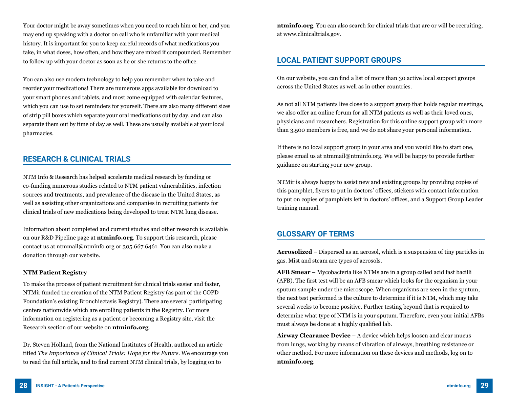Your doctor might be away sometimes when you need to reach him or her, and you may end up speaking with a doctor on call who is unfamiliar with your medical history. It is important for you to keep careful records of what medications you take, in what doses, how often, and how they are mixed if compounded. Remember to follow up with your doctor as soon as he or she returns to the office.

You can also use modern technology to help you remember when to take and reorder your medications! There are numerous apps available for download to your smart phones and tablets, and most come equipped with calendar features, which you can use to set reminders for yourself. There are also many different sizes of strip pill boxes which separate your oral medications out by day, and can also separate them out by time of day as well. These are usually available at your local pharmacies.

### **RESEARCH & CLINICAL TRIALS**

NTM Info & Research has helped accelerate medical research by funding or co-funding numerous studies related to NTM patient vulnerabilities, infection sources and treatments, and prevalence of the disease in the United States, as well as assisting other organizations and companies in recruiting patients for clinical trials of new medications being developed to treat NTM lung disease.

Information about completed and current studies and other research is available on our R&D Pipeline page at **ntminfo.org**. To support this research, please contact us at ntmmail@ntminfo.org or 305.667.6461. You can also make a donation through our website.

#### **NTM Patient Registry**

To make the process of patient recruitment for clinical trials easier and faster, NTMir funded the creation of the NTM Patient Registry (as part of the COPD Foundation's existing Bronchiectasis Registry). There are several participating centers nationwide which are enrolling patients in the Registry. For more information on registering as a patient or becoming a Registry site, visit the Research section of our website on **ntminfo.org**.

Dr. Steven Holland, from the National Institutes of Health, authored an article titled *The Importance of Clinical Trials: Hope for the Future*. We encourage you to read the full article, and to find current NTM clinical trials, by logging on to

**ntminfo.org**. You can also search for clinical trials that are or will be recruiting, at www.clinicaltrials.gov.

### **LOCAL PATIENT SUPPORT GROUPS**

On our website, you can find a list of more than 30 active local support groups across the United States as well as in other countries.

As not all NTM patients live close to a support group that holds regular meetings, we also offer an online forum for all NTM patients as well as their loved ones, physicians and researchers. Registration for this online support group with more than 3,500 members is free, and we do not share your personal information.

If there is no local support group in your area and you would like to start one, please email us at ntmmail@ntminfo.org. We will be happy to provide further guidance on starting your new group.

NTMir is always happy to assist new and existing groups by providing copies of this pamphlet, flyers to put in doctors' offices, stickers with contact information to put on copies of pamphlets left in doctors' offices, and a Support Group Leader training manual.

### **GLOSSARY OF TERMS**

**Aerosolized** – Dispersed as an aerosol, which is a suspension of tiny particles in gas. Mist and steam are types of aerosols.

**AFB Smear** – Mycobacteria like NTMs are in a group called acid fast bacilli (AFB). The first test will be an AFB smear which looks for the organism in your sputum sample under the microscope. When organisms are seen in the sputum, the next test performed is the culture to determine if it is NTM, which may take several weeks to become positive. Further testing beyond that is required to determine what type of NTM is in your sputum. Therefore, even your initial AFBs must always be done at a highly qualified lab.

**Airway Clearance Device** – A device which helps loosen and clear mucus from lungs, working by means of vibration of airways, breathing resistance or other method. For more information on these devices and methods, log on to **ntminfo.org**.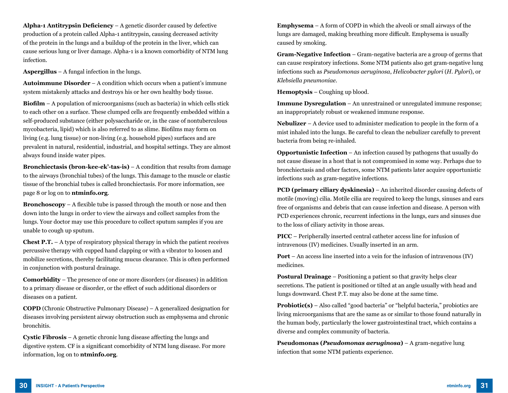**Alpha-1 Antitrypsin Deficiency** – A genetic disorder caused by defective production of a protein called Alpha-1 antitrypsin, causing decreased activity of the protein in the lungs and a buildup of the protein in the liver, which can cause serious lung or liver damage. Alpha-1 is a known comorbidity of NTM lung infection.

**Aspergillus** – A fungal infection in the lungs.

**Autoimmune Disorder** – A condition which occurs when a patient's immune system mistakenly attacks and destroys his or her own healthy body tissue.

**Biofilm** – A population of microorganisms (such as bacteria) in which cells stick to each other on a surface. These clumped cells are frequently embedded within a self-produced substance (either polysaccharide or, in the case of nontuberculous mycobacteria, lipid) which is also referred to as slime. Biofilms may form on living (e.g. lung tissue) or non-living (e.g. household pipes) surfaces and are prevalent in natural, residential, industrial, and hospital settings. They are almost always found inside water pipes.

**Bronchiectasis (bron-kee-ek'-tas-is)** – A condition that results from damage to the airways (bronchial tubes) of the lungs. This damage to the muscle or elastic tissue of the bronchial tubes is called bronchiectasis. For more information, see page 8 or log on to **ntminfo.org**.

**Bronchoscopy** – A flexible tube is passed through the mouth or nose and then down into the lungs in order to view the airways and collect samples from the lungs. Your doctor may use this procedure to collect sputum samples if you are unable to cough up sputum.

**Chest P.T.** – A type of respiratory physical therapy in which the patient receives percussive therapy with cupped hand clapping or with a vibrator to loosen and mobilize secretions, thereby facilitating mucus clearance. This is often performed in conjunction with postural drainage.

**Comorbidity** – The presence of one or more disorders (or diseases) in addition to a primary disease or disorder, or the effect of such additional disorders or diseases on a patient.

**COPD** (Chronic Obstructive Pulmonary Disease) – A generalized designation for diseases involving persistent airway obstruction such as emphysema and chronic bronchitis.

**Cystic Fibrosis** – A genetic chronic lung disease affecting the lungs and digestive system. CF is a significant comorbidity of NTM lung disease. For more information, log on to **ntminfo.org**.

**Emphysema** – A form of COPD in which the alveoli or small airways of the lungs are damaged, making breathing more difficult. Emphysema is usually caused by smoking.

**Gram-Negative Infection** – Gram-negative bacteria are a group of germs that can cause respiratory infections. Some NTM patients also get gram-negative lung infections such as *Pseudomonas aeruginosa*, *Helicobacter pylori* (*H. Pylori*), or *Klebsiella pneumoniae*.

**Hemoptysis** – Coughing up blood.

**Immune Dysregulation** – An unrestrained or unregulated immune response; an inappropriately robust or weakened immune response.

**Nebulizer** – A device used to administer medication to people in the form of a mist inhaled into the lungs. Be careful to clean the nebulizer carefully to prevent bacteria from being re-inhaled.

**Opportunistic Infection** – An infection caused by pathogens that usually do not cause disease in a host that is not compromised in some way. Perhaps due to bronchiectasis and other factors, some NTM patients later acquire opportunistic infections such as gram-negative infections.

**PCD (primary ciliary dyskinesia)** – An inherited disorder causing defects of motile (moving) cilia. Motile cilia are required to keep the lungs, sinuses and ears free of organisms and debris that can cause infection and disease. A person with PCD experiences chronic, recurrent infections in the lungs, ears and sinuses due to the loss of ciliary activity in those areas.

**PICC** – Peripherally inserted central catheter access line for infusion of intravenous (IV) medicines. Usually inserted in an arm.

**Port** – An access line inserted into a vein for the infusion of intravenous (IV) medicines.

**Postural Drainage** – Positioning a patient so that gravity helps clear secretions. The patient is positioned or tilted at an angle usually with head and lungs downward. Chest P.T. may also be done at the same time.

**Probiotic(s)** – Also called "good bacteria" or "helpful bacteria," probiotics are living microorganisms that are the same as or similar to those found naturally in the human body, particularly the lower gastrointestinal tract, which contains a diverse and complex community of bacteria.

**Pseudomonas (***Pseudomonas aeruginosa***)** – A gram-negative lung infection that some NTM patients experience.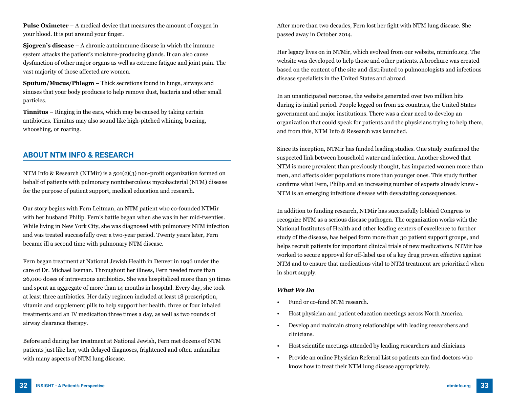**Pulse Oximeter** – A medical device that measures the amount of oxygen in your blood. It is put around your finger.

**Sjogren's disease** – A chronic autoimmune disease in which the immune system attacks the patient's moisture-producing glands. It can also cause dysfunction of other major organs as well as extreme fatigue and joint pain. The vast majority of those affected are women.

**Sputum/Mucus/Phlegm** – Thick secretions found in lungs, airways and sinuses that your body produces to help remove dust, bacteria and other small particles.

**Tinnitus** – Ringing in the ears, which may be caused by taking certain antibiotics. Tinnitus may also sound like high-pitched whining, buzzing, whooshing, or roaring.

### **ABOUT NTM INFO & RESEARCH**

NTM Info & Research (NTMir) is a  $501(c)(3)$  non-profit organization formed on behalf of patients with pulmonary nontuberculous mycobacterial (NTM) disease for the purpose of patient support, medical education and research.

Our story begins with Fern Leitman, an NTM patient who co-founded NTMir with her husband Philip. Fern's battle began when she was in her mid-twenties. While living in New York City, she was diagnosed with pulmonary NTM infection and was treated successfully over a two-year period. Twenty years later, Fern became ill a second time with pulmonary NTM disease.

Fern began treatment at National Jewish Health in Denver in 1996 under the care of Dr. Michael Iseman. Throughout her illness, Fern needed more than 26,000 doses of intravenous antibiotics. She was hospitalized more than 30 times and spent an aggregate of more than 14 months in hospital. Every day, she took at least three antibiotics. Her daily regimen included at least 18 prescription, vitamin and supplement pills to help support her health, three or four inhaled treatments and an IV medication three times a day, as well as two rounds of airway clearance therapy.

Before and during her treatment at National Jewish, Fern met dozens of NTM patients just like her, with delayed diagnoses, frightened and often unfamiliar with many aspects of NTM lung disease.

After more than two decades, Fern lost her fight with NTM lung disease. She passed away in October 2014.

Her legacy lives on in NTMir, which evolved from our website, ntminfo.org. The website was developed to help those and other patients. A brochure was created based on the content of the site and distributed to pulmonologists and infectious disease specialists in the United States and abroad.

In an unanticipated response, the website generated over two million hits during its initial period. People logged on from 22 countries, the United States government and major institutions. There was a clear need to develop an organization that could speak for patients and the physicians trying to help them, and from this, NTM Info & Research was launched.

Since its inception, NTMir has funded leading studies. One study confirmed the suspected link between household water and infection. Another showed that NTM is more prevalent than previously thought, has impacted women more than men, and affects older populations more than younger ones. This study further confirms what Fern, Philip and an increasing number of experts already knew - NTM is an emerging infectious disease with devastating consequences.

In addition to funding research, NTMir has successfully lobbied Congress to recognize NTM as a serious disease pathogen. The organization works with the National Institutes of Health and other leading centers of excellence to further study of the disease, has helped form more than 30 patient support groups, and helps recruit patients for important clinical trials of new medications. NTMir has worked to secure approval for off-label use of a key drug proven effective against NTM and to ensure that medications vital to NTM treatment are prioritized when in short supply.

#### *What We Do*

- Fund or co-fund NTM research.
- Host physician and patient education meetings across North America.
- Develop and maintain strong relationships with leading researchers and clinicians.
- Host scientific meetings attended by leading researchers and clinicians
- Provide an online Physician Referral List so patients can find doctors who know how to treat their NTM lung disease appropriately.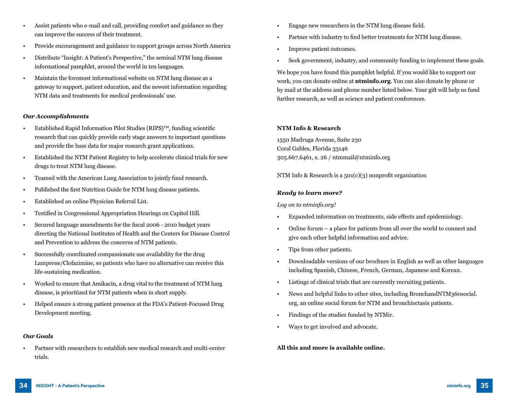- Assist patients who e-mail and call, providing comfort and guidance so they can improve the success of their treatment.
- Provide encouragement and guidance to support groups across North America
- Distribute "Insight: A Patient's Perspective," the seminal NTM lung disease informational pamphlet, around the world in ten languages.
- Maintain the foremost informational website on NTM lung disease as a gateway to support, patient education, and the newest information regarding NTM data and treatments for medical professionals' use.

#### *Our Accomplishments*

- Established Rapid Information Pilot Studies (RIPS)™, funding scientific research that can quickly provide early stage answers to important questions and provide the base data for major research grant applications.
- Established the NTM Patient Registry to help accelerate clinical trials for new drugs to treat NTM lung disease.
- Teamed with the American Lung Association to jointly fund research.
- Published the first Nutrition Guide for NTM lung disease patients.
- Established an online Physician Referral List.
- Testified in Congressional Appropriation Hearings on Capitol Hill.
- Secured language amendments for the fiscal 2006 2010 budget years directing the National Institutes of Health and the Centers for Disease Control and Prevention to address the concerns of NTM patients.
- Successfully coordinated compassionate use availability for the drug Lamprene/Clofazimine, so patients who have no alternative can receive this life-sustaining medication.
- Worked to ensure that Amikacin, a drug vital to the treatment of NTM lung disease, is prioritized for NTM patients when in short supply.
- Helped ensure a strong patient presence at the FDA's Patient-Focused Drug Development meeting.

#### *Our Goals*

• Partner with researchers to establish new medical research and multi-center trials.

- Engage new researchers in the NTM lung disease field.
- Partner with industry to find better treatments for NTM lung disease.
- Improve patient outcomes.
- Seek government, industry, and community funding to implement these goals.

We hope you have found this pamphlet helpful. If you would like to support our work, you can donate online at **ntminfo.org**. You can also donate by phone or by mail at the address and phone number listed below. Your gift will help us fund further research, as well as science and patient conferences.

#### **NTM Info & Research**

1550 Madruga Avenue, Suite 230 Coral Gables, Florida 33146 305.667.6461, x. 26 / ntmmail@ntminfo.org

NTM Info & Research is a 501(c)(3) nonprofit organization

#### *Ready to learn more?*

#### *Log on to ntminfo.org!*

- Expanded information on treatments, side effects and epidemiology.
- Online forum a place for patients from all over the world to connect and give each other helpful information and advice.
- Tips from other patients.
- Downloadable versions of our brochure in English as well as other languages including Spanish, Chinese, French, German, Japanese and Korean.
- Listings of clinical trials that are currently recruiting patients.
- News and helpful links to other sites, including BronchandNTM360social. org, an online social forum for NTM and bronchiectasis patients.
- Findings of the studies funded by NTMir.
- Ways to get involved and advocate.

#### **All this and more is available online.**